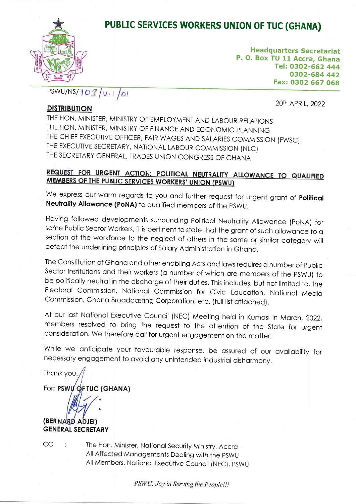## PUBLIC SERVICES WORKERS UNION OF TUC (GHANA)



Headquarters Secretariat P. O. Box TU 1l Accra, Ghana Tel: O3O2-662 444 0302-684 442 Fax: O3O2 667 068

 $PSWU/NS/103/v\cdot i$ /01

20TH APRIL, 2022

## DISTRIBUTION

THE HON. MINISTER, MINISTRY OF EMPLOYMENT AND LABOUR RELATIONS THE HON. MINISTER, MINISTRY OF FINANCE AND ECONOMIC PLANNING THE CHIEF EXECUTIVE OFFICER, FAIR WAGES AND SALARIES COMMISSION (FWSC) THE EXECUTIVE SECRETARY, NATIONAL LABOUR COMMISSION (NLC) THE SECRETARY GENERAL. TRADES UNION CONGRESS OF GHANA

## REQUEST FOR URGENT ACTION: POLITICAL NEUTRALITY ALLOWANCE TO QUALIFIED MEMBERS OF THE PUBLIC SERVICES WORKERS' UNION (PSWU)

We express our warm regards to you and further request for urgent grant of Political Neutrality Allowance (PoNA) to qualified members of the PSWU.

Hoving followed developments surrounding Politicol Neutrolity Allowonce (poNA) for some Public Sector Workers, it is pertinent to state that the grant of such allowance to a section of the workforce to the neglect of others in the same or similar category will defeat the underlining principles of Salary Administration in Ghana.

The Constitution of Ghana and other enabling Acts and laws requires a number of Public Sector Institutions and their workers (a number of which are members of the PSWU) to be politically neutral in the discharge of their duties. This includes, but not limited to, the Electorol Commission, Notionol Commission for Civic Educotion, Notionol Medio Commission, Ghana Broadcasting Corporation, etc. (full list attached).

At our last National Executive Council (NEC) Meeting held in Kumasi in March, 2022, members resolved to bring the request io the ottention of the Stote for urgent consideration. We therefore call for urgent engagement on the matter.

While we anticipate your favourable response, be assured of our availability for necessory engogement to ovoid ony unintended industriol dishormony.

Thonk you.

For**: PSWY OF TUC (GHANA)** 

a

(BERNARD ADJEI) **GENERAL SECRETARY** 

 $CC$ 

 $\ddot{\phantom{a}}$ 

The Hon. Minister, National Security Ministry, Accra All Affected Monogements Deoling with the pSWU All Members, National Executive Council (NEC), PSWU

PSWU: Joy in Serving the People!!!